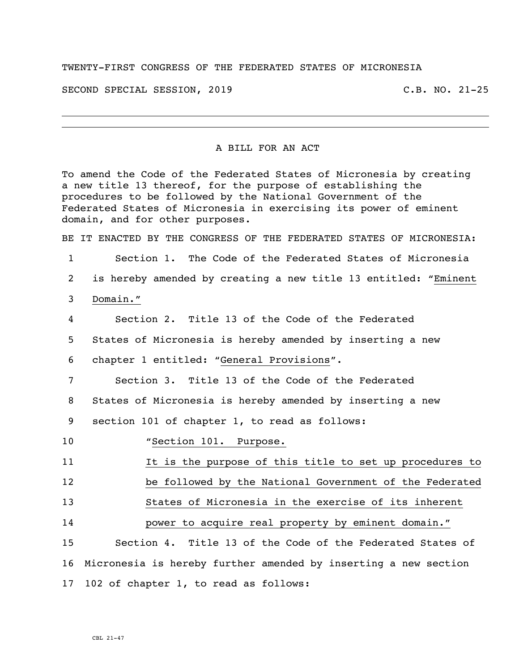## TWENTY-FIRST CONGRESS OF THE FEDERATED STATES OF MICRONESIA

SECOND SPECIAL SESSION, 2019 C.B. NO. 21-25

## A BILL FOR AN ACT

To amend the Code of the Federated States of Micronesia by creating a new title 13 thereof, for the purpose of establishing the procedures to be followed by the National Government of the Federated States of Micronesia in exercising its power of eminent domain, and for other purposes. BE IT ENACTED BY THE CONGRESS OF THE FEDERATED STATES OF MICRONESIA: 1 Section 1. The Code of the Federated States of Micronesia 2 is hereby amended by creating a new title 13 entitled: "Eminent 3 Domain." 4 Section 2. Title 13 of the Code of the Federated 5 States of Micronesia is hereby amended by inserting a new 6 chapter 1 entitled: "General Provisions". 7 Section 3. Title 13 of the Code of the Federated

8 States of Micronesia is hereby amended by inserting a new

9 section 101 of chapter 1, to read as follows:

10 "Section 101. Purpose.

11 11 It is the purpose of this title to set up procedures to

12 be followed by the National Government of the Federated

13 States of Micronesia in the exercise of its inherent

14 power to acquire real property by eminent domain."

15 Section 4. Title 13 of the Code of the Federated States of 16 Micronesia is hereby further amended by inserting a new section 17 102 of chapter 1, to read as follows:

CBL 21-47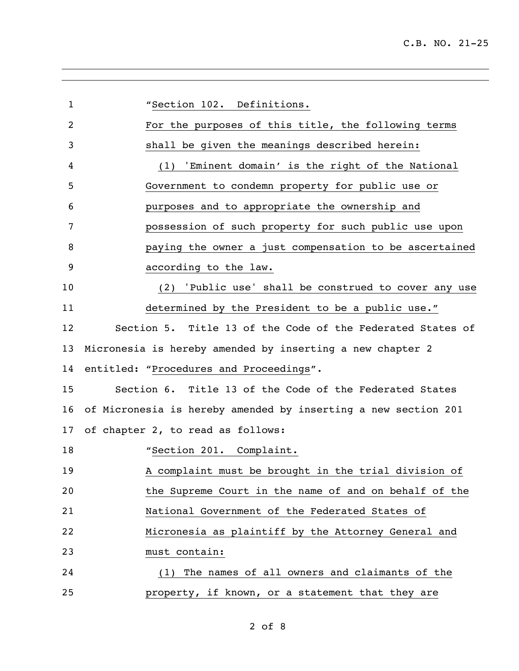| $\mathbf{1}$ | "Section 102. Definitions.                                     |
|--------------|----------------------------------------------------------------|
| 2            | For the purposes of this title, the following terms            |
| 3            | shall be given the meanings described herein:                  |
| 4            | 'Eminent domain' is the right of the National<br>(1)           |
| 5            | Government to condemn property for public use or               |
| 6            | purposes and to appropriate the ownership and                  |
| 7            | possession of such property for such public use upon           |
| 8            | paying the owner a just compensation to be ascertained         |
| 9            | according to the law.                                          |
| 10           | 'Public use' shall be construed to cover any use<br>(2)        |
| 11           | determined by the President to be a public use."               |
| 12           | Section 5. Title 13 of the Code of the Federated States of     |
| 13           | Micronesia is hereby amended by inserting a new chapter 2      |
| 14           | entitled: "Procedures and Proceedings".                        |
| 15           | Section 6. Title 13 of the Code of the Federated States        |
| 16           | of Micronesia is hereby amended by inserting a new section 201 |
| 17           | of chapter 2, to read as follows:                              |
| 18           | "Section 201. Complaint.                                       |
| 19           | A complaint must be brought in the trial division of           |
| 20           | the Supreme Court in the name of and on behalf of the          |
| 21           | National Government of the Federated States of                 |
| 22           | Micronesia as plaintiff by the Attorney General and            |
| 23           | must contain:                                                  |
| 24           | (1) The names of all owners and claimants of the               |
| 25           | property, if known, or a statement that they are               |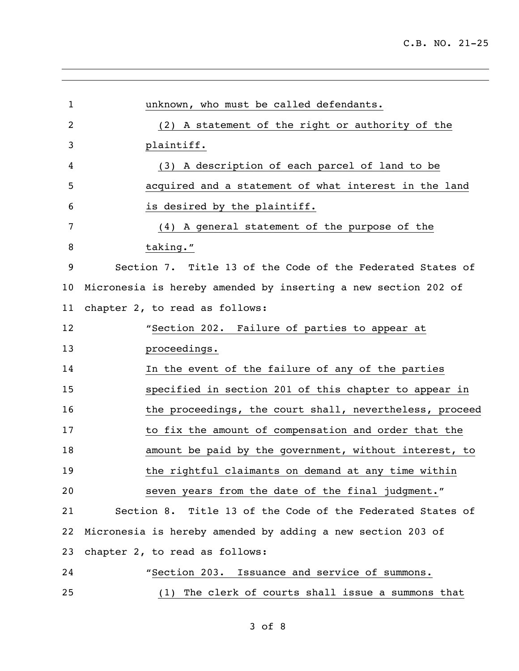| 1  | unknown, who must be called defendants.                        |
|----|----------------------------------------------------------------|
| 2  | (2) A statement of the right or authority of the               |
| 3  | plaintiff.                                                     |
| 4  | (3) A description of each parcel of land to be                 |
| 5  | acquired and a statement of what interest in the land          |
| 6  | is desired by the plaintiff.                                   |
| 7  | (4) A general statement of the purpose of the                  |
| 8  | taking."                                                       |
| 9  | Section 7. Title 13 of the Code of the Federated States of     |
| 10 | Micronesia is hereby amended by inserting a new section 202 of |
| 11 | chapter 2, to read as follows:                                 |
| 12 | "Section 202. Failure of parties to appear at                  |
| 13 | proceedings.                                                   |
| 14 | In the event of the failure of any of the parties              |
| 15 | specified in section 201 of this chapter to appear in          |
| 16 | the proceedings, the court shall, nevertheless, proceed        |
| 17 | to fix the amount of compensation and order that the           |
| 18 | amount be paid by the government, without interest, to         |
| 19 | the rightful claimants on demand at any time within            |
| 20 | seven years from the date of the final judgment."              |
| 21 | Section 8. Title 13 of the Code of the Federated States of     |
| 22 | Micronesia is hereby amended by adding a new section 203 of    |
| 23 | chapter 2, to read as follows:                                 |
| 24 | "Section 203. Issuance and service of summons.                 |
| 25 | The clerk of courts shall issue a summons that<br>(1)          |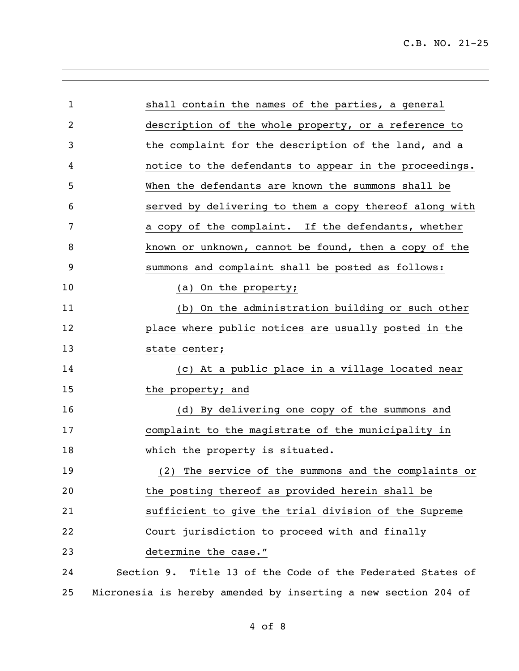L,

| $\mathbf{1}$   | shall contain the names of the parties, a general              |
|----------------|----------------------------------------------------------------|
| $\overline{2}$ | description of the whole property, or a reference to           |
| 3              | the complaint for the description of the land, and a           |
| 4              | notice to the defendants to appear in the proceedings.         |
| 5              | When the defendants are known the summons shall be             |
| 6              | served by delivering to them a copy thereof along with         |
| 7              | a copy of the complaint. If the defendants, whether            |
| 8              | known or unknown, cannot be found, then a copy of the          |
| 9              | summons and complaint shall be posted as follows:              |
| 10             | (a) On the property;                                           |
| 11             | (b) On the administration building or such other               |
| 12             | place where public notices are usually posted in the           |
| 13             | state center;                                                  |
| 14             | (c) At a public place in a village located near                |
| 15             | the property; and                                              |
| 16             | (d) By delivering one copy of the summons and                  |
| 17             | complaint to the magistrate of the municipality in             |
| 18             | which the property is situated.                                |
| 19             | (2) The service of the summons and the complaints or           |
| 20             | the posting thereof as provided herein shall be                |
| 21             | sufficient to give the trial division of the Supreme           |
| 22             | Court jurisdiction to proceed with and finally                 |
| 23             | determine the case."                                           |
| 24             | Section 9. Title 13 of the Code of the Federated States of     |
| 25             | Micronesia is hereby amended by inserting a new section 204 of |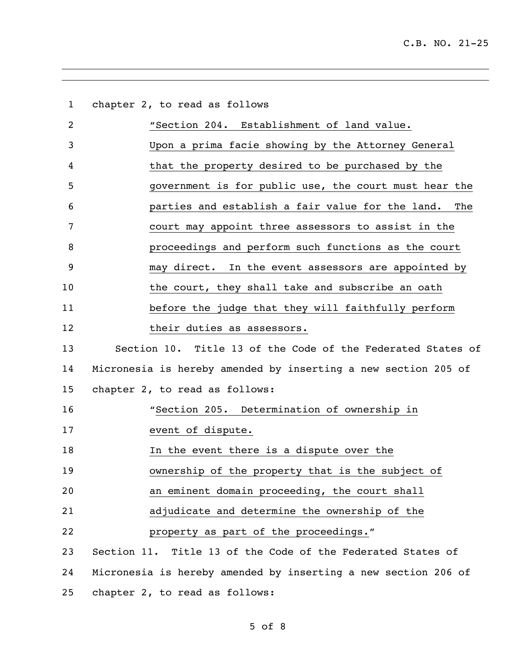| $\mathbf{1}$   | chapter 2, to read as follows                                  |
|----------------|----------------------------------------------------------------|
| $\overline{2}$ | "Section 204. Establishment of land value.                     |
| 3              | Upon a prima facie showing by the Attorney General             |
| 4              | that the property desired to be purchased by the               |
| 5              | government is for public use, the court must hear the          |
| 6              | parties and establish a fair value for the land. The           |
| 7              | court may appoint three assessors to assist in the             |
| 8              | proceedings and perform such functions as the court            |
| 9              | may direct. In the event assessors are appointed by            |
| 10             | the court, they shall take and subscribe an oath               |
| 11             | before the judge that they will faithfully perform             |
| 12             | their duties as assessors.                                     |
| 13             | Section 10. Title 13 of the Code of the Federated States of    |
| 14             | Micronesia is hereby amended by inserting a new section 205 of |
| 15             | chapter 2, to read as follows:                                 |
| 16             | "Section 205. Determination of ownership in                    |
| 17             | event of dispute.                                              |
| 18             | In the event there is a dispute over the                       |
| 19             | ownership of the property that is the subject of               |
| 20             | an eminent domain proceeding, the court shall                  |
| 21             | adjudicate and determine the ownership of the                  |
| 22             | property as part of the proceedings."                          |
| 23             | Section 11. Title 13 of the Code of the Federated States of    |
| 24             | Micronesia is hereby amended by inserting a new section 206 of |
| 25             | chapter 2, to read as follows:                                 |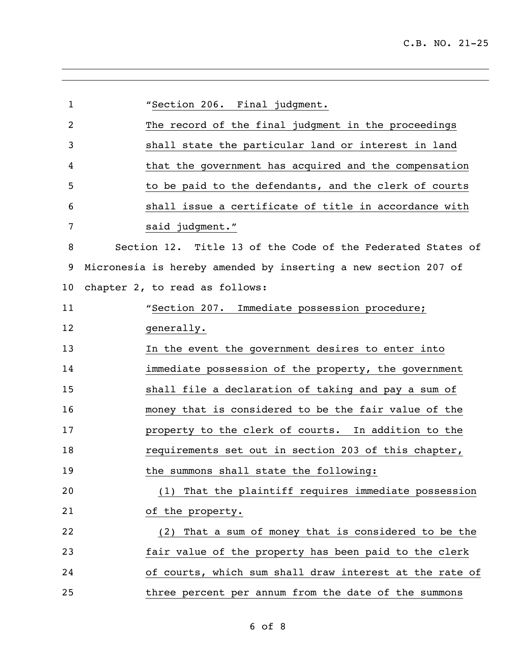| $\mathbf{1}$   | "Section 206. Final judgment.                                  |
|----------------|----------------------------------------------------------------|
| $\overline{2}$ | The record of the final judgment in the proceedings            |
| 3              | shall state the particular land or interest in land            |
| 4              | that the government has acquired and the compensation          |
| 5              | to be paid to the defendants, and the clerk of courts          |
| 6              | shall issue a certificate of title in accordance with          |
| 7              | said judgment."                                                |
| 8              | Section 12. Title 13 of the Code of the Federated States of    |
| 9              | Micronesia is hereby amended by inserting a new section 207 of |
| 10             | chapter 2, to read as follows:                                 |
| 11             | "Section 207. Immediate possession procedure;                  |
| 12             | generally.                                                     |
| 13             | In the event the government desires to enter into              |
| 14             | immediate possession of the property, the government           |
| 15             | shall file a declaration of taking and pay a sum of            |
| 16             | money that is considered to be the fair value of the           |
| 17             | property to the clerk of courts. In addition to the            |
| 18             | requirements set out in section 203 of this chapter,           |
| 19             | the summons shall state the following:                         |
| 20             | (1) That the plaintiff requires immediate possession           |
| 21             | of the property.                                               |
| 22             | (2) That a sum of money that is considered to be the           |
| 23             | fair value of the property has been paid to the clerk          |
| 24             | of courts, which sum shall draw interest at the rate of        |
| 25             | three percent per annum from the date of the summons           |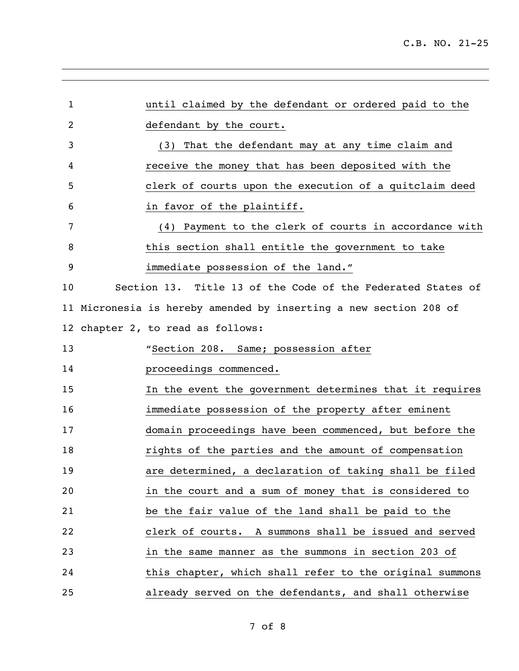| $\mathbf 1$ | until claimed by the defendant or ordered paid to the             |
|-------------|-------------------------------------------------------------------|
| 2           | defendant by the court.                                           |
| 3           | (3) That the defendant may at any time claim and                  |
| 4           | receive the money that has been deposited with the                |
| 5           | clerk of courts upon the execution of a quitclaim deed            |
| 6           | in favor of the plaintiff.                                        |
| 7           | (4) Payment to the clerk of courts in accordance with             |
| 8           | this section shall entitle the government to take                 |
| 9           | immediate possession of the land."                                |
| 10          | Section 13. Title 13 of the Code of the Federated States of       |
|             | 11 Micronesia is hereby amended by inserting a new section 208 of |
|             | 12 chapter 2, to read as follows:                                 |
| 13          | "Section 208. Same; possession after                              |
| 14          | proceedings commenced.                                            |
| 15          | In the event the government determines that it requires           |
| 16          | immediate possession of the property after eminent                |
| 17          | domain proceedings have been commenced, but before the            |
| 18          | rights of the parties and the amount of compensation              |
| 19          | are determined, a declaration of taking shall be filed            |
| 20          | in the court and a sum of money that is considered to             |
| 21          | be the fair value of the land shall be paid to the                |
| 22          | clerk of courts. A summons shall be issued and served             |
| 23          | in the same manner as the summons in section 203 of               |
| 24          | this chapter, which shall refer to the original summons           |
| 25          | already served on the defendants, and shall otherwise             |